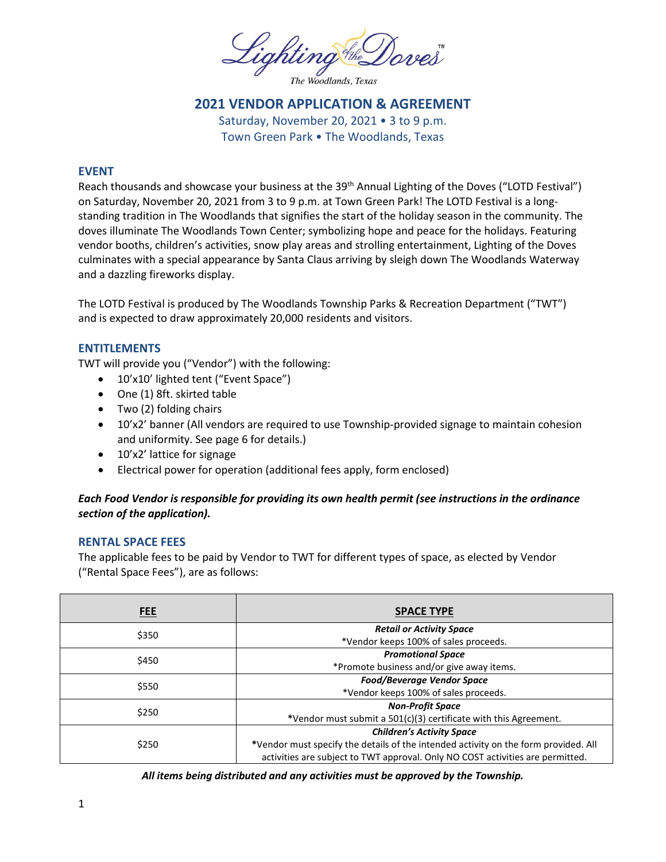Lighting the Doves

The Woodlands, Texas

# **2021 VENDOR APPLICATION & AGREEMENT**

Saturday, November 20, 2021 • 3 to 9 p.m. Town Green Park • The Woodlands, Texas

## **EVENT**

Reach thousands and showcase your business at the 39<sup>th</sup> Annual Lighting of the Doves ("LOTD Festival") on Saturday, November 20, 2021 from 3 to 9 p.m. at Town Green Park! The LOTD Festival is a longstanding tradition in The Woodlands that signifies the start of the holiday season in the community. The doves illuminate The Woodlands Town Center; symbolizing hope and peace for the holidays. Featuring vendor booths, children's activities, snow play areas and strolling entertainment, Lighting of the Doves culminates with a special appearance by Santa Claus arriving by sleigh down The Woodlands Waterway and a dazzling fireworks display.

The LOTD Festival is produced by The Woodlands Township Parks & Recreation Department ("TWT") and is expected to draw approximately 20,000 residents and visitors.

#### **ENTITLEMENTS**

TWT will provide you ("Vendor") with the following:

- 10'x10' lighted tent ("Event Space")
- One (1) 8ft. skirted table
- Two (2) folding chairs
- 10'x2' banner (All vendors are required to use Township-provided signage to maintain cohesion and uniformity. See page 6 for details.)
- 10'x2' lattice for signage
- Electrical power for operation (additional fees apply, form enclosed)

## *Each Food Vendor is responsible for providing its own health permit (see instructions in the ordinance section of the application).*

## **RENTAL SPACE FEES**

The applicable fees to be paid by Vendor to TWT for different types of space, as elected by Vendor ("Rental Space Fees"), are as follows:

| <b>FEE</b> | <b>SPACE TYPE</b>                                                                   |  |
|------------|-------------------------------------------------------------------------------------|--|
| \$350      | <b>Retail or Activity Space</b>                                                     |  |
|            | *Vendor keeps 100% of sales proceeds.                                               |  |
| \$450      | <b>Promotional Space</b>                                                            |  |
|            | *Promote business and/or give away items.                                           |  |
| \$550      | <b>Food/Beverage Vendor Space</b>                                                   |  |
|            | *Vendor keeps 100% of sales proceeds.                                               |  |
| \$250      | <b>Non-Profit Space</b>                                                             |  |
|            | *Vendor must submit a 501(c)(3) certificate with this Agreement.                    |  |
| \$250      | <b>Children's Activity Space</b>                                                    |  |
|            | *Vendor must specify the details of the intended activity on the form provided. All |  |
|            | activities are subject to TWT approval. Only NO COST activities are permitted.      |  |

*All items being distributed and any activities must be approved by the Township.*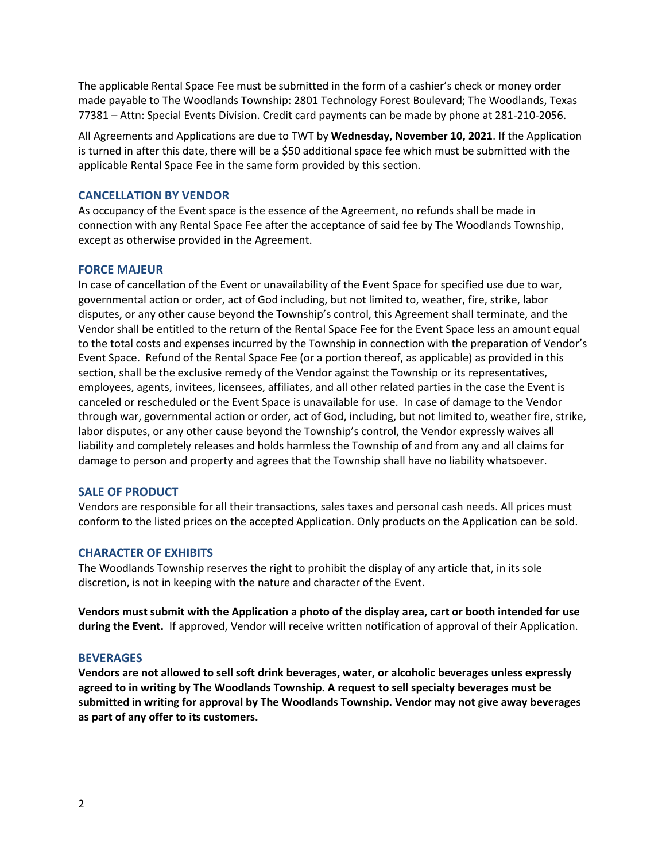The applicable Rental Space Fee must be submitted in the form of a cashier's check or money order made payable to The Woodlands Township: 2801 Technology Forest Boulevard; The Woodlands, Texas 77381 – Attn: Special Events Division. Credit card payments can be made by phone at 281-210-2056.

All Agreements and Applications are due to TWT by **Wednesday, November 10, 2021**. If the Application is turned in after this date, there will be a \$50 additional space fee which must be submitted with the applicable Rental Space Fee in the same form provided by this section.

### **CANCELLATION BY VENDOR**

As occupancy of the Event space is the essence of the Agreement, no refunds shall be made in connection with any Rental Space Fee after the acceptance of said fee by The Woodlands Township, except as otherwise provided in the Agreement.

## **FORCE MAJEUR**

In case of cancellation of the Event or unavailability of the Event Space for specified use due to war, governmental action or order, act of God including, but not limited to, weather, fire, strike, labor disputes, or any other cause beyond the Township's control, this Agreement shall terminate, and the Vendor shall be entitled to the return of the Rental Space Fee for the Event Space less an amount equal to the total costs and expenses incurred by the Township in connection with the preparation of Vendor's Event Space. Refund of the Rental Space Fee (or a portion thereof, as applicable) as provided in this section, shall be the exclusive remedy of the Vendor against the Township or its representatives, employees, agents, invitees, licensees, affiliates, and all other related parties in the case the Event is canceled or rescheduled or the Event Space is unavailable for use. In case of damage to the Vendor through war, governmental action or order, act of God, including, but not limited to, weather fire, strike, labor disputes, or any other cause beyond the Township's control, the Vendor expressly waives all liability and completely releases and holds harmless the Township of and from any and all claims for damage to person and property and agrees that the Township shall have no liability whatsoever.

#### **SALE OF PRODUCT**

Vendors are responsible for all their transactions, sales taxes and personal cash needs. All prices must conform to the listed prices on the accepted Application. Only products on the Application can be sold.

## **CHARACTER OF EXHIBITS**

The Woodlands Township reserves the right to prohibit the display of any article that, in its sole discretion, is not in keeping with the nature and character of the Event.

**Vendors must submit with the Application a photo of the display area, cart or booth intended for use during the Event.** If approved, Vendor will receive written notification of approval of their Application.

#### **BEVERAGES**

**Vendors are not allowed to sell soft drink beverages, water, or alcoholic beverages unless expressly agreed to in writing by The Woodlands Township. A request to sell specialty beverages must be submitted in writing for approval by The Woodlands Township. Vendor may not give away beverages as part of any offer to its customers.**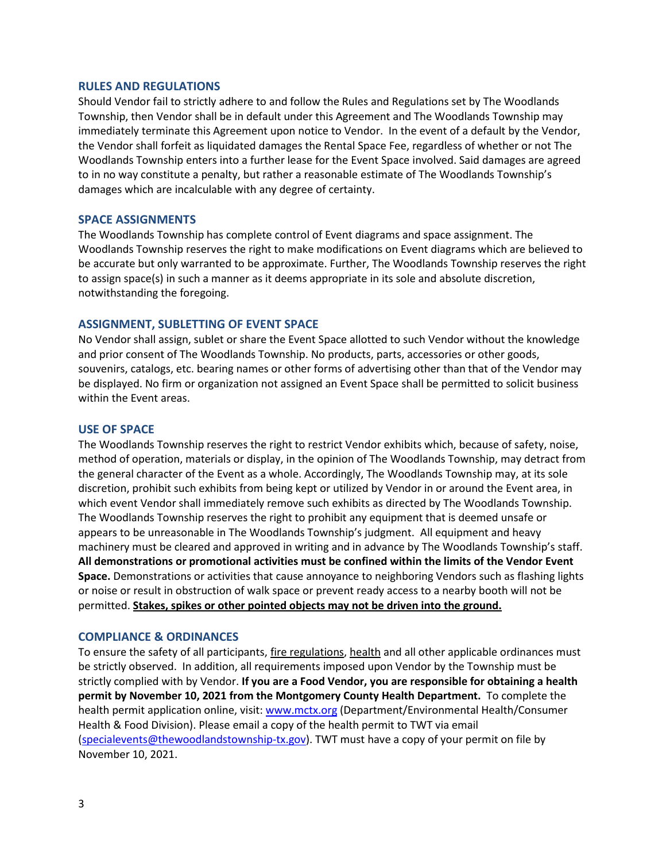#### **RULES AND REGULATIONS**

Should Vendor fail to strictly adhere to and follow the Rules and Regulations set by The Woodlands Township, then Vendor shall be in default under this Agreement and The Woodlands Township may immediately terminate this Agreement upon notice to Vendor. In the event of a default by the Vendor, the Vendor shall forfeit as liquidated damages the Rental Space Fee, regardless of whether or not The Woodlands Township enters into a further lease for the Event Space involved. Said damages are agreed to in no way constitute a penalty, but rather a reasonable estimate of The Woodlands Township's damages which are incalculable with any degree of certainty.

#### **SPACE ASSIGNMENTS**

The Woodlands Township has complete control of Event diagrams and space assignment. The Woodlands Township reserves the right to make modifications on Event diagrams which are believed to be accurate but only warranted to be approximate. Further, The Woodlands Township reserves the right to assign space(s) in such a manner as it deems appropriate in its sole and absolute discretion, notwithstanding the foregoing.

#### **ASSIGNMENT, SUBLETTING OF EVENT SPACE**

No Vendor shall assign, sublet or share the Event Space allotted to such Vendor without the knowledge and prior consent of The Woodlands Township. No products, parts, accessories or other goods, souvenirs, catalogs, etc. bearing names or other forms of advertising other than that of the Vendor may be displayed. No firm or organization not assigned an Event Space shall be permitted to solicit business within the Event areas.

#### **USE OF SPACE**

The Woodlands Township reserves the right to restrict Vendor exhibits which, because of safety, noise, method of operation, materials or display, in the opinion of The Woodlands Township, may detract from the general character of the Event as a whole. Accordingly, The Woodlands Township may, at its sole discretion, prohibit such exhibits from being kept or utilized by Vendor in or around the Event area, in which event Vendor shall immediately remove such exhibits as directed by The Woodlands Township. The Woodlands Township reserves the right to prohibit any equipment that is deemed unsafe or appears to be unreasonable in The Woodlands Township's judgment. All equipment and heavy machinery must be cleared and approved in writing and in advance by The Woodlands Township's staff. **All demonstrations or promotional activities must be confined within the limits of the Vendor Event Space.** Demonstrations or activities that cause annoyance to neighboring Vendors such as flashing lights or noise or result in obstruction of walk space or prevent ready access to a nearby booth will not be permitted. **Stakes, spikes or other pointed objects may not be driven into the ground.**

#### **COMPLIANCE & ORDINANCES**

To ensure the safety of all participants, fire regulations, health and all other applicable ordinances must be strictly observed. In addition, all requirements imposed upon Vendor by the Township must be strictly complied with by Vendor. **If you are a Food Vendor, you are responsible for obtaining a health permit by November 10, 2021 from the Montgomery County Health Department.** To complete the health permit application online, visit: [www.mctx.org](http://www.mctx.org/) (Department/Environmental Health/Consumer Health & Food Division). Please email a copy of the health permit to TWT via email [\(specialevents@thewoodlandstownship-tx.gov\)](mailto:specialevents@thewoodlandstownship-tx.gov). TWT must have a copy of your permit on file by November 10, 2021.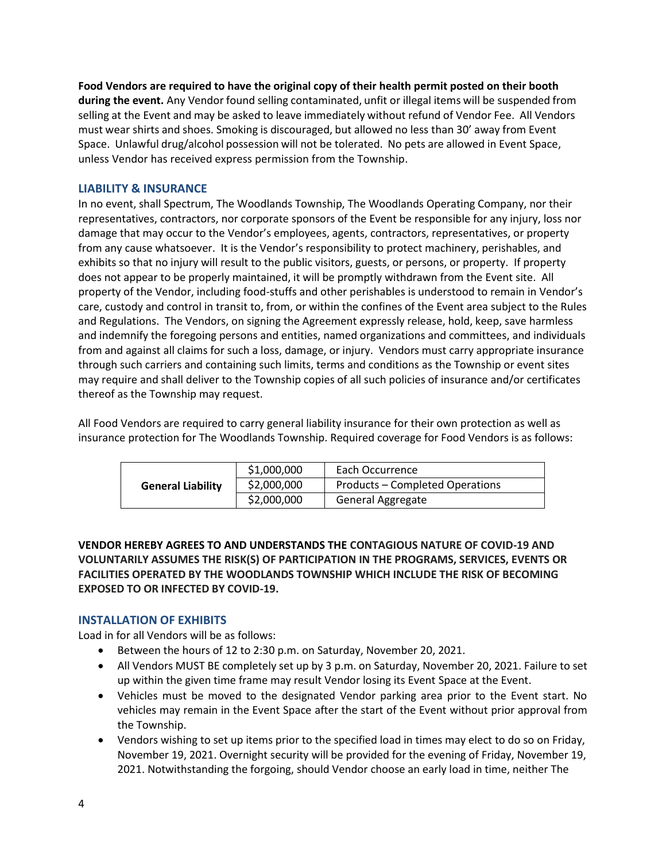**Food Vendors are required to have the original copy of their health permit posted on their booth during the event.** Any Vendor found selling contaminated, unfit or illegal items will be suspended from selling at the Event and may be asked to leave immediately without refund of Vendor Fee. All Vendors must wear shirts and shoes. Smoking is discouraged, but allowed no less than 30' away from Event Space. Unlawful drug/alcohol possession will not be tolerated. No pets are allowed in Event Space, unless Vendor has received express permission from the Township.

## **LIABILITY & INSURANCE**

In no event, shall Spectrum, The Woodlands Township, The Woodlands Operating Company, nor their representatives, contractors, nor corporate sponsors of the Event be responsible for any injury, loss nor damage that may occur to the Vendor's employees, agents, contractors, representatives, or property from any cause whatsoever. It is the Vendor's responsibility to protect machinery, perishables, and exhibits so that no injury will result to the public visitors, guests, or persons, or property. If property does not appear to be properly maintained, it will be promptly withdrawn from the Event site. All property of the Vendor, including food-stuffs and other perishables is understood to remain in Vendor's care, custody and control in transit to, from, or within the confines of the Event area subject to the Rules and Regulations. The Vendors, on signing the Agreement expressly release, hold, keep, save harmless and indemnify the foregoing persons and entities, named organizations and committees, and individuals from and against all claims for such a loss, damage, or injury. Vendors must carry appropriate insurance through such carriers and containing such limits, terms and conditions as the Township or event sites may require and shall deliver to the Township copies of all such policies of insurance and/or certificates thereof as the Township may request.

All Food Vendors are required to carry general liability insurance for their own protection as well as insurance protection for The Woodlands Township. Required coverage for Food Vendors is as follows:

|                          | \$1,000,000 | Each Occurrence                 |
|--------------------------|-------------|---------------------------------|
| <b>General Liability</b> | \$2,000,000 | Products – Completed Operations |
|                          | \$2,000,000 | General Aggregate               |

**VENDOR HEREBY AGREES TO AND UNDERSTANDS THE CONTAGIOUS NATURE OF COVID-19 AND VOLUNTARILY ASSUMES THE RISK(S) OF PARTICIPATION IN THE PROGRAMS, SERVICES, EVENTS OR FACILITIES OPERATED BY THE WOODLANDS TOWNSHIP WHICH INCLUDE THE RISK OF BECOMING EXPOSED TO OR INFECTED BY COVID-19.**

## **INSTALLATION OF EXHIBITS**

Load in for all Vendors will be as follows:

- Between the hours of 12 to 2:30 p.m. on Saturday, November 20, 2021.
- All Vendors MUST BE completely set up by 3 p.m. on Saturday, November 20, 2021. Failure to set up within the given time frame may result Vendor losing its Event Space at the Event.
- Vehicles must be moved to the designated Vendor parking area prior to the Event start. No vehicles may remain in the Event Space after the start of the Event without prior approval from the Township.
- Vendors wishing to set up items prior to the specified load in times may elect to do so on Friday, November 19, 2021. Overnight security will be provided for the evening of Friday, November 19, 2021. Notwithstanding the forgoing, should Vendor choose an early load in time, neither The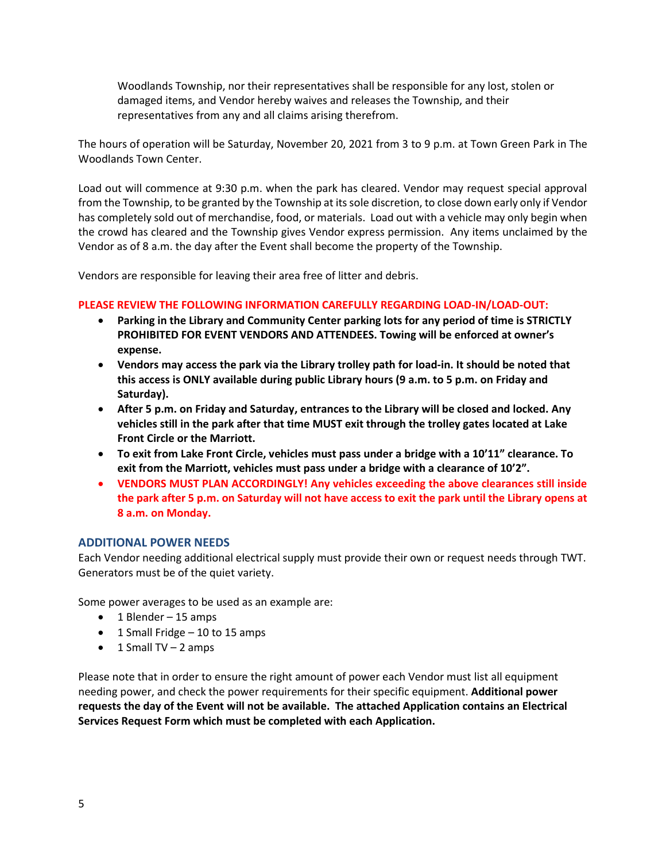Woodlands Township, nor their representatives shall be responsible for any lost, stolen or damaged items, and Vendor hereby waives and releases the Township, and their representatives from any and all claims arising therefrom.

The hours of operation will be Saturday, November 20, 2021 from 3 to 9 p.m. at Town Green Park in The Woodlands Town Center.

Load out will commence at 9:30 p.m. when the park has cleared. Vendor may request special approval from the Township, to be granted by the Township at its sole discretion, to close down early only if Vendor has completely sold out of merchandise, food, or materials. Load out with a vehicle may only begin when the crowd has cleared and the Township gives Vendor express permission. Any items unclaimed by the Vendor as of 8 a.m. the day after the Event shall become the property of the Township.

Vendors are responsible for leaving their area free of litter and debris.

## **PLEASE REVIEW THE FOLLOWING INFORMATION CAREFULLY REGARDING LOAD-IN/LOAD-OUT:**

- **Parking in the Library and Community Center parking lots for any period of time is STRICTLY PROHIBITED FOR EVENT VENDORS AND ATTENDEES. Towing will be enforced at owner's expense.**
- **Vendors may access the park via the Library trolley path for load-in. It should be noted that this access is ONLY available during public Library hours (9 a.m. to 5 p.m. on Friday and Saturday).**
- **After 5 p.m. on Friday and Saturday, entrances to the Library will be closed and locked. Any vehicles still in the park after that time MUST exit through the trolley gates located at Lake Front Circle or the Marriott.**
- **To exit from Lake Front Circle, vehicles must pass under a bridge with a 10'11" clearance. To exit from the Marriott, vehicles must pass under a bridge with a clearance of 10'2".**
- **VENDORS MUST PLAN ACCORDINGLY! Any vehicles exceeding the above clearances still inside the park after 5 p.m. on Saturday will not have access to exit the park until the Library opens at 8 a.m. on Monday.**

## **ADDITIONAL POWER NEEDS**

Each Vendor needing additional electrical supply must provide their own or request needs through TWT. Generators must be of the quiet variety.

Some power averages to be used as an example are:

- 1 Blender 15 amps
- $\bullet$  1 Small Fridge 10 to 15 amps
- $\bullet$  1 Small TV 2 amps

Please note that in order to ensure the right amount of power each Vendor must list all equipment needing power, and check the power requirements for their specific equipment. **Additional power requests the day of the Event will not be available. The attached Application contains an Electrical Services Request Form which must be completed with each Application.**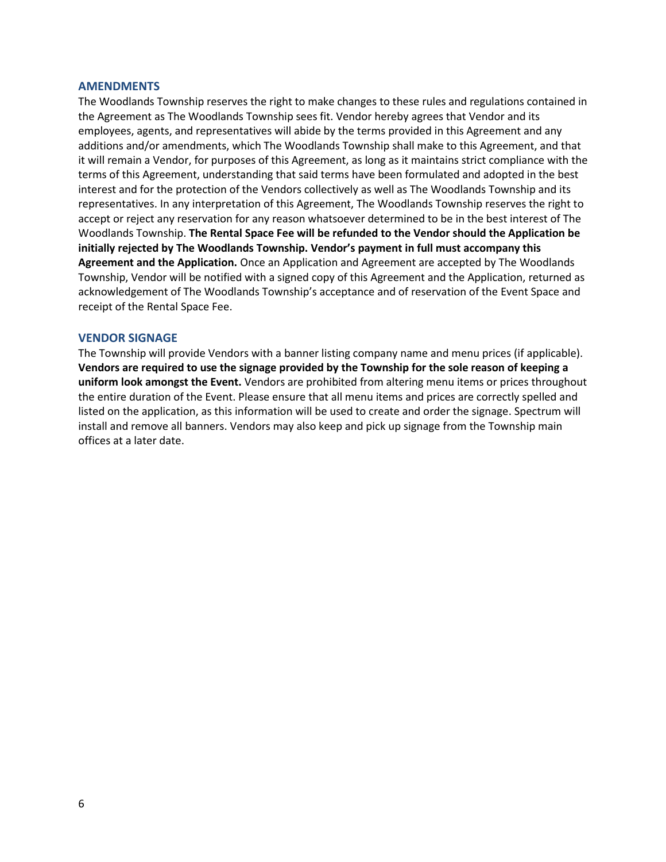#### **AMENDMENTS**

The Woodlands Township reserves the right to make changes to these rules and regulations contained in the Agreement as The Woodlands Township sees fit. Vendor hereby agrees that Vendor and its employees, agents, and representatives will abide by the terms provided in this Agreement and any additions and/or amendments, which The Woodlands Township shall make to this Agreement, and that it will remain a Vendor, for purposes of this Agreement, as long as it maintains strict compliance with the terms of this Agreement, understanding that said terms have been formulated and adopted in the best interest and for the protection of the Vendors collectively as well as The Woodlands Township and its representatives. In any interpretation of this Agreement, The Woodlands Township reserves the right to accept or reject any reservation for any reason whatsoever determined to be in the best interest of The Woodlands Township. **The Rental Space Fee will be refunded to the Vendor should the Application be initially rejected by The Woodlands Township. Vendor's payment in full must accompany this Agreement and the Application.** Once an Application and Agreement are accepted by The Woodlands Township, Vendor will be notified with a signed copy of this Agreement and the Application, returned as acknowledgement of The Woodlands Township's acceptance and of reservation of the Event Space and receipt of the Rental Space Fee.

## **VENDOR SIGNAGE**

The Township will provide Vendors with a banner listing company name and menu prices (if applicable). **Vendors are required to use the signage provided by the Township for the sole reason of keeping a uniform look amongst the Event.** Vendors are prohibited from altering menu items or prices throughout the entire duration of the Event. Please ensure that all menu items and prices are correctly spelled and listed on the application, as this information will be used to create and order the signage. Spectrum will install and remove all banners. Vendors may also keep and pick up signage from the Township main offices at a later date.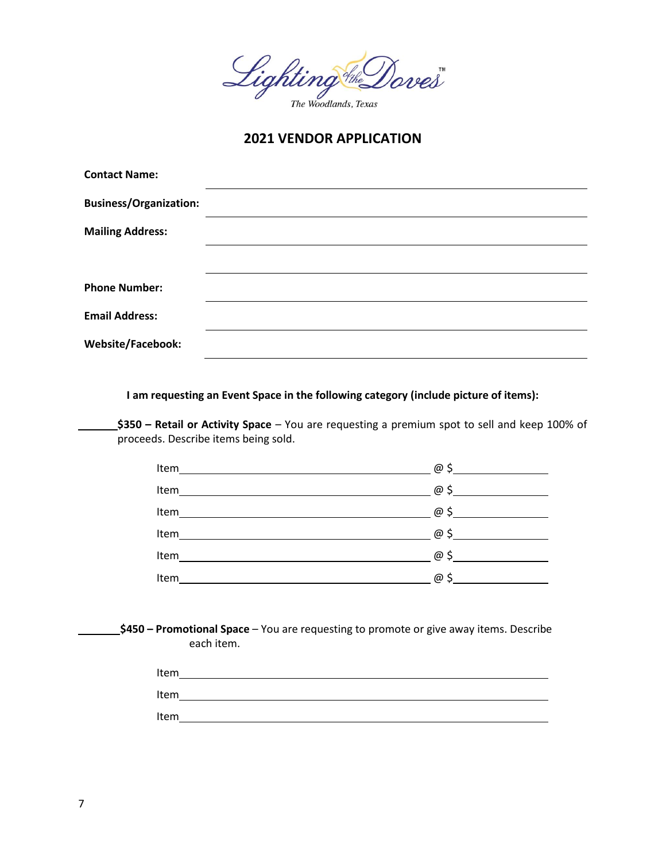

**2021 VENDOR APPLICATION**

| <b>Contact Name:</b>          |  |  |
|-------------------------------|--|--|
| <b>Business/Organization:</b> |  |  |
| <b>Mailing Address:</b>       |  |  |
|                               |  |  |
| <b>Phone Number:</b>          |  |  |
| <b>Email Address:</b>         |  |  |
| Website/Facebook:             |  |  |
|                               |  |  |

**I am requesting an Event Space in the following category (include picture of items):**

**\$350 – Retail or Activity Space** – You are requesting a premium spot to sell and keep 100% of proceeds. Describe items being sold.

| Item<br><u>and the state of the state of the state of the state of the state of the state of the state of the state of th</u> | @           |
|-------------------------------------------------------------------------------------------------------------------------------|-------------|
| Item                                                                                                                          |             |
| Item                                                                                                                          | $\varpi$ \$ |
| Item                                                                                                                          | $\varpi$ \$ |
| Item                                                                                                                          | $\varpi$ \$ |
| Item                                                                                                                          | @ \$        |

**\$450 – Promotional Space** – You are requesting to promote or give away items. Describe each item.

| Item |  |  |
|------|--|--|
| Item |  |  |
| Item |  |  |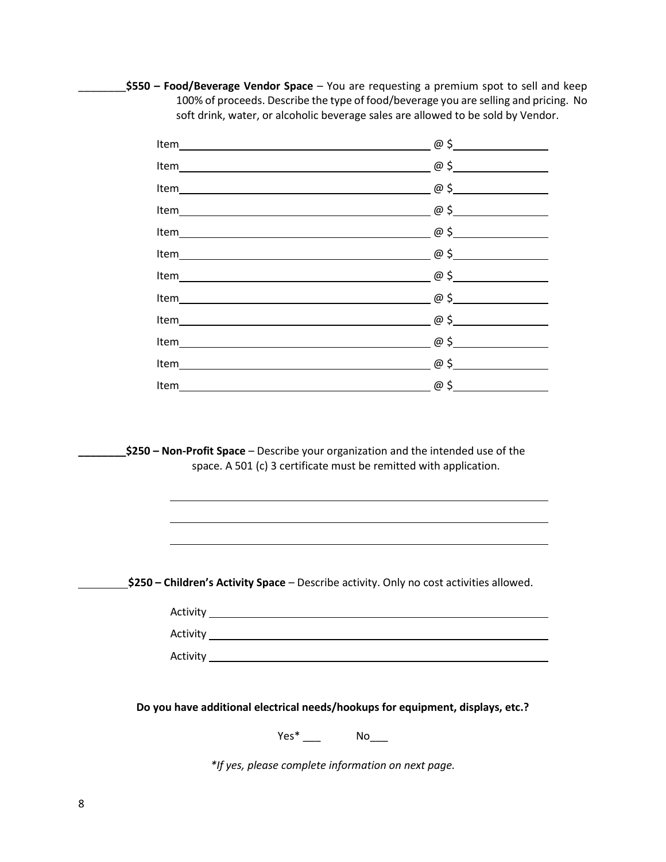\_\_\_\_\_\_\_\_**\$550 – Food/Beverage Vendor Space** – You are requesting a premium spot to sell and keep 100% of proceeds. Describe the type of food/beverage you are selling and pricing. No soft drink, water, or alcoholic beverage sales are allowed to be sold by Vendor.

| $Item$ $@5$ |                               |
|-------------|-------------------------------|
| $Item$ $@5$ |                               |
|             |                               |
|             | $\overline{\omega}$ $\phi$ \$ |
|             | $\omega$ \$                   |
|             | $\omega$ \$                   |
|             |                               |

**\_\_\_\_\_\_\_\_\$250 – Non-Profit Space** – Describe your organization and the intended use of the space. A 501 (c) 3 certificate must be remitted with application.

**\$250 – Children's Activity Space** – Describe activity. Only no cost activities allowed.

| Activity |  |  |
|----------|--|--|
| Activity |  |  |
| Activity |  |  |

**Do you have additional electrical needs/hookups for equipment, displays, etc.?**

Yes\* \_\_\_ No\_\_\_

*\*If yes, please complete information on next page.*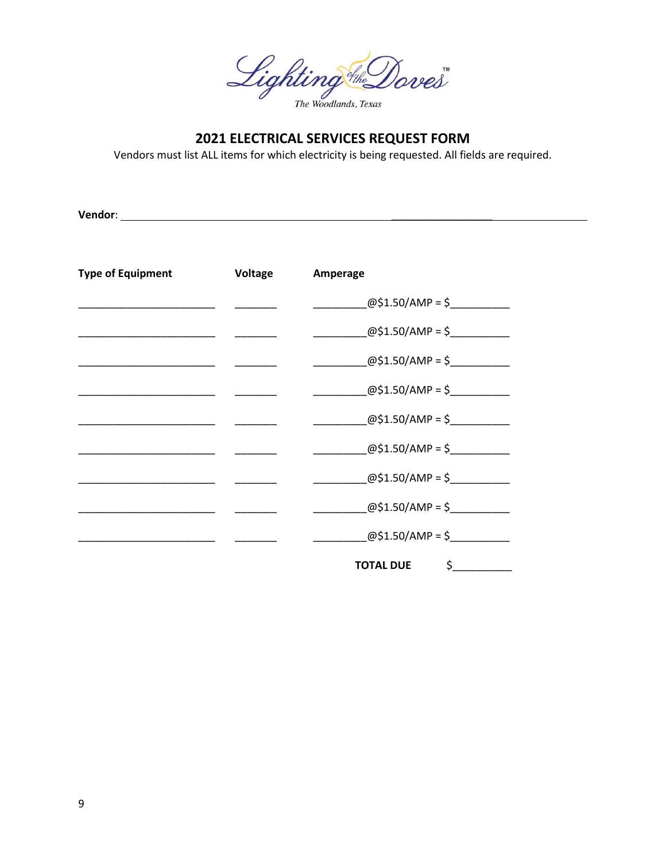Lighting the Doves

# 2021 ELECTRICAL SERVICES REQUEST FORM

Vendors must list ALL items for which electricity is being requested. All fields are required.

Vendor: University of the Community of the Community of the Community of the Community of the Community of the Community of the Community of the Community of the Community of the Community of the Community of the Community

| <b>Type of Equipment</b> | Voltage | Amperage                                                       |
|--------------------------|---------|----------------------------------------------------------------|
|                          |         | @\$1.50/AMP = \$                                               |
|                          |         | @\$1.50/AMP = \$                                               |
|                          |         | @\$1.50/AMP = \$                                               |
|                          |         | $@$1.50/AMP = $$                                               |
|                          |         | @\$1.50/AMP = \$                                               |
|                          |         | @\$1.50/AMP = \$                                               |
|                          |         | @\$1.50/AMP = \$                                               |
|                          |         | @\$1.50/AMP = \$                                               |
|                          |         | @\$1.50/AMP = \$                                               |
|                          |         | $\mathsf{S}$ , and the set of $\mathsf{S}$<br><b>TOTAL DUE</b> |